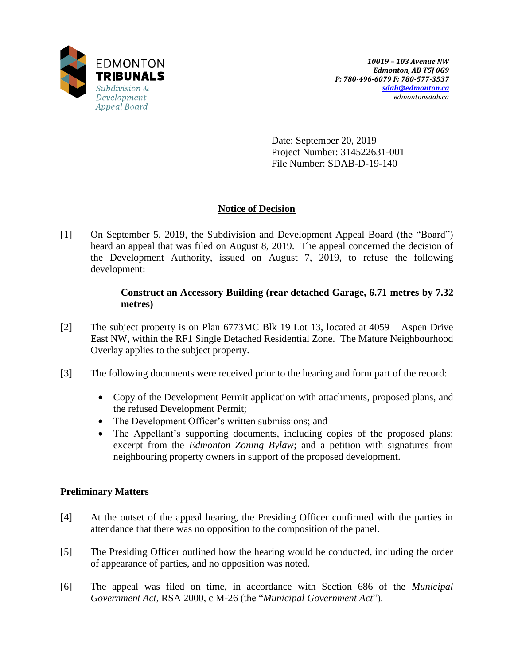

Date: September 20, 2019 Project Number: 314522631-001 File Number: SDAB-D-19-140

## **Notice of Decision**

[1] On September 5, 2019, the Subdivision and Development Appeal Board (the "Board") heard an appeal that was filed on August 8, 2019. The appeal concerned the decision of the Development Authority, issued on August 7, 2019, to refuse the following development:

## **Construct an Accessory Building (rear detached Garage, 6.71 metres by 7.32 metres)**

- [2] The subject property is on Plan 6773MC Blk 19 Lot 13, located at 4059 Aspen Drive East NW, within the RF1 Single Detached Residential Zone. The Mature Neighbourhood Overlay applies to the subject property.
- [3] The following documents were received prior to the hearing and form part of the record:
	- Copy of the Development Permit application with attachments, proposed plans, and the refused Development Permit;
	- The Development Officer's written submissions; and
	- The Appellant's supporting documents, including copies of the proposed plans; excerpt from the *Edmonton Zoning Bylaw*; and a petition with signatures from neighbouring property owners in support of the proposed development.

## **Preliminary Matters**

- [4] At the outset of the appeal hearing, the Presiding Officer confirmed with the parties in attendance that there was no opposition to the composition of the panel.
- [5] The Presiding Officer outlined how the hearing would be conducted, including the order of appearance of parties, and no opposition was noted.
- [6] The appeal was filed on time, in accordance with Section 686 of the *Municipal Government Act*, RSA 2000, c M-26 (the "*Municipal Government Act*").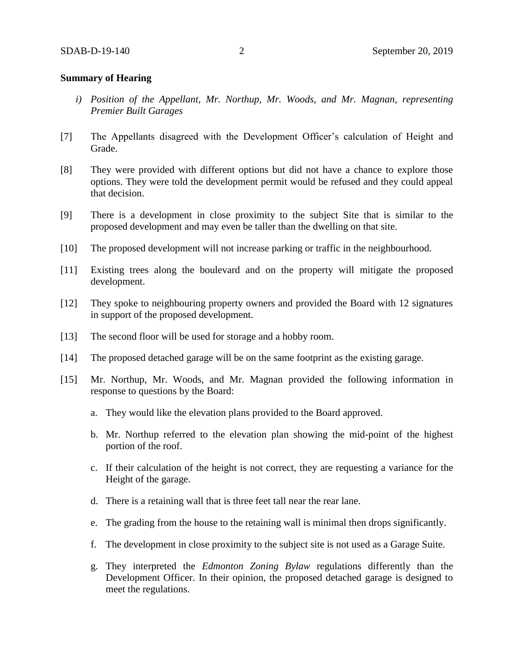#### **Summary of Hearing**

- *i) Position of the Appellant, Mr. Northup, Mr. Woods, and Mr. Magnan, representing Premier Built Garages*
- [7] The Appellants disagreed with the Development Officer's calculation of Height and Grade.
- [8] They were provided with different options but did not have a chance to explore those options. They were told the development permit would be refused and they could appeal that decision.
- [9] There is a development in close proximity to the subject Site that is similar to the proposed development and may even be taller than the dwelling on that site.
- [10] The proposed development will not increase parking or traffic in the neighbourhood.
- [11] Existing trees along the boulevard and on the property will mitigate the proposed development.
- [12] They spoke to neighbouring property owners and provided the Board with 12 signatures in support of the proposed development.
- [13] The second floor will be used for storage and a hobby room.
- [14] The proposed detached garage will be on the same footprint as the existing garage.
- [15] Mr. Northup, Mr. Woods, and Mr. Magnan provided the following information in response to questions by the Board:
	- a. They would like the elevation plans provided to the Board approved.
	- b. Mr. Northup referred to the elevation plan showing the mid-point of the highest portion of the roof.
	- c. If their calculation of the height is not correct, they are requesting a variance for the Height of the garage.
	- d. There is a retaining wall that is three feet tall near the rear lane.
	- e. The grading from the house to the retaining wall is minimal then drops significantly.
	- f. The development in close proximity to the subject site is not used as a Garage Suite.
	- g. They interpreted the *Edmonton Zoning Bylaw* regulations differently than the Development Officer. In their opinion, the proposed detached garage is designed to meet the regulations.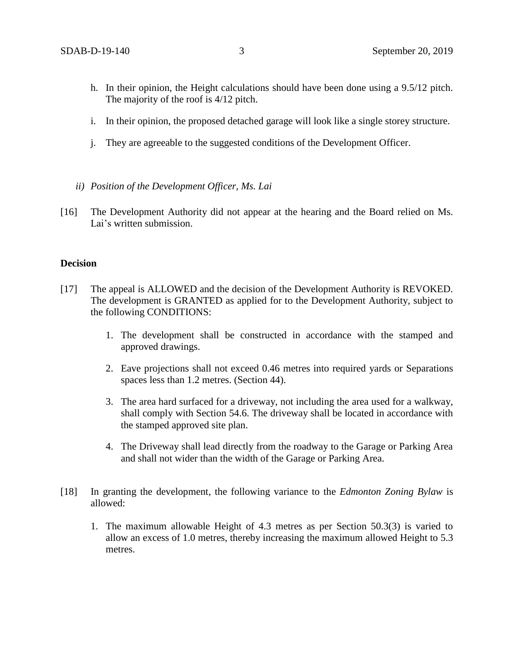- h. In their opinion, the Height calculations should have been done using a 9.5/12 pitch. The majority of the roof is 4/12 pitch.
- i. In their opinion, the proposed detached garage will look like a single storey structure.
- j. They are agreeable to the suggested conditions of the Development Officer.
- *ii) Position of the Development Officer, Ms. Lai*
- [16] The Development Authority did not appear at the hearing and the Board relied on Ms. Lai's written submission.

### **Decision**

- [17] The appeal is ALLOWED and the decision of the Development Authority is REVOKED. The development is GRANTED as applied for to the Development Authority, subject to the following CONDITIONS:
	- 1. The development shall be constructed in accordance with the stamped and approved drawings.
	- 2. Eave projections shall not exceed 0.46 metres into required yards or Separations spaces less than 1.2 metres. (Section 44).
	- 3. The area hard surfaced for a driveway, not including the area used for a walkway, shall comply with Section 54.6. The driveway shall be located in accordance with the stamped approved site plan.
	- 4. The Driveway shall lead directly from the roadway to the Garage or Parking Area and shall not wider than the width of the Garage or Parking Area.
- [18] In granting the development, the following variance to the *Edmonton Zoning Bylaw* is allowed:
	- 1. The maximum allowable Height of 4.3 metres as per Section 50.3(3) is varied to allow an excess of 1.0 metres, thereby increasing the maximum allowed Height to 5.3 metres.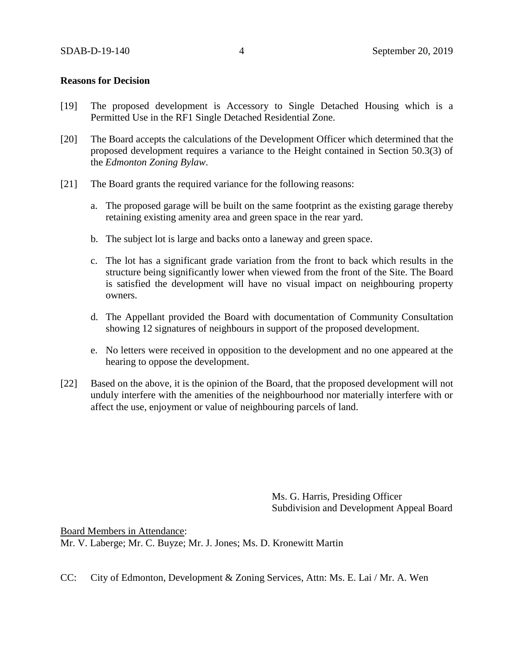#### **Reasons for Decision**

- [19] The proposed development is Accessory to Single Detached Housing which is a Permitted Use in the RF1 Single Detached Residential Zone.
- [20] The Board accepts the calculations of the Development Officer which determined that the proposed development requires a variance to the Height contained in Section 50.3(3) of the *Edmonton Zoning Bylaw*.
- [21] The Board grants the required variance for the following reasons:
	- a. The proposed garage will be built on the same footprint as the existing garage thereby retaining existing amenity area and green space in the rear yard.
	- b. The subject lot is large and backs onto a laneway and green space.
	- c. The lot has a significant grade variation from the front to back which results in the structure being significantly lower when viewed from the front of the Site. The Board is satisfied the development will have no visual impact on neighbouring property owners.
	- d. The Appellant provided the Board with documentation of Community Consultation showing 12 signatures of neighbours in support of the proposed development.
	- e. No letters were received in opposition to the development and no one appeared at the hearing to oppose the development.
- [22] Based on the above, it is the opinion of the Board, that the proposed development will not unduly interfere with the amenities of the neighbourhood nor materially interfere with or affect the use, enjoyment or value of neighbouring parcels of land.

Ms. G. Harris, Presiding Officer Subdivision and Development Appeal Board

Board Members in Attendance: Mr. V. Laberge; Mr. C. Buyze; Mr. J. Jones; Ms. D. Kronewitt Martin

CC: City of Edmonton, Development & Zoning Services, Attn: Ms. E. Lai / Mr. A. Wen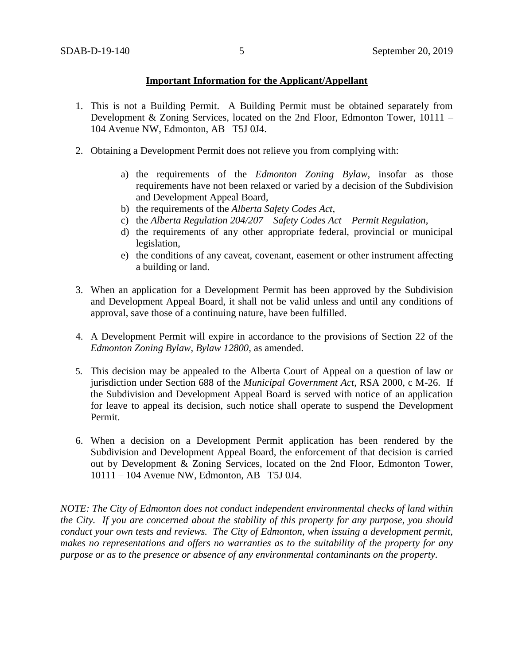## **Important Information for the Applicant/Appellant**

- 1. This is not a Building Permit. A Building Permit must be obtained separately from Development & Zoning Services, located on the 2nd Floor, Edmonton Tower, 10111 – 104 Avenue NW, Edmonton, AB T5J 0J4.
- 2. Obtaining a Development Permit does not relieve you from complying with:
	- a) the requirements of the *Edmonton Zoning Bylaw*, insofar as those requirements have not been relaxed or varied by a decision of the Subdivision and Development Appeal Board,
	- b) the requirements of the *Alberta Safety Codes Act*,
	- c) the *Alberta Regulation 204/207 – Safety Codes Act – Permit Regulation*,
	- d) the requirements of any other appropriate federal, provincial or municipal legislation,
	- e) the conditions of any caveat, covenant, easement or other instrument affecting a building or land.
- 3. When an application for a Development Permit has been approved by the Subdivision and Development Appeal Board, it shall not be valid unless and until any conditions of approval, save those of a continuing nature, have been fulfilled.
- 4. A Development Permit will expire in accordance to the provisions of Section 22 of the *Edmonton Zoning Bylaw, Bylaw 12800*, as amended.
- 5. This decision may be appealed to the Alberta Court of Appeal on a question of law or jurisdiction under Section 688 of the *Municipal Government Act*, RSA 2000, c M-26. If the Subdivision and Development Appeal Board is served with notice of an application for leave to appeal its decision, such notice shall operate to suspend the Development Permit.
- 6. When a decision on a Development Permit application has been rendered by the Subdivision and Development Appeal Board, the enforcement of that decision is carried out by Development & Zoning Services, located on the 2nd Floor, Edmonton Tower, 10111 – 104 Avenue NW, Edmonton, AB T5J 0J4.

*NOTE: The City of Edmonton does not conduct independent environmental checks of land within the City. If you are concerned about the stability of this property for any purpose, you should conduct your own tests and reviews. The City of Edmonton, when issuing a development permit, makes no representations and offers no warranties as to the suitability of the property for any purpose or as to the presence or absence of any environmental contaminants on the property.*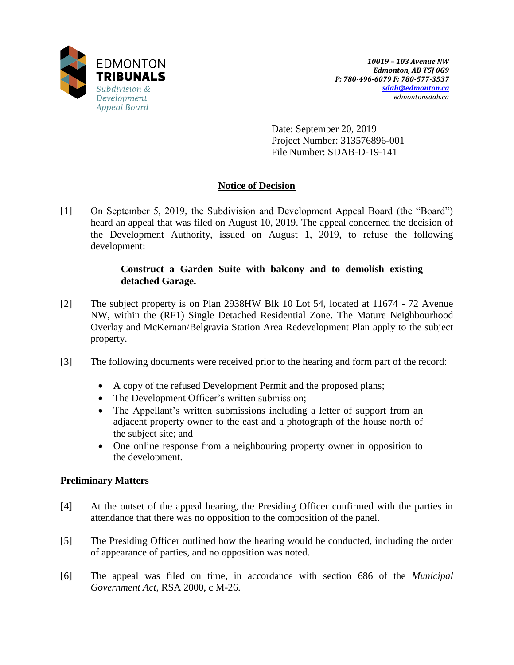

Date: September 20, 2019 Project Number: 313576896-001 File Number: SDAB-D-19-141

## **Notice of Decision**

[1] On September 5, 2019, the Subdivision and Development Appeal Board (the "Board") heard an appeal that was filed on August 10, 2019. The appeal concerned the decision of the Development Authority, issued on August 1, 2019, to refuse the following development:

## **Construct a Garden Suite with balcony and to demolish existing detached Garage.**

- [2] The subject property is on Plan 2938HW Blk 10 Lot 54, located at 11674 72 Avenue NW, within the (RF1) Single Detached Residential Zone. The Mature Neighbourhood Overlay and McKernan/Belgravia Station Area Redevelopment Plan apply to the subject property.
- [3] The following documents were received prior to the hearing and form part of the record:
	- A copy of the refused Development Permit and the proposed plans;
	- The Development Officer's written submission;
	- The Appellant's written submissions including a letter of support from an adjacent property owner to the east and a photograph of the house north of the subject site; and
	- One online response from a neighbouring property owner in opposition to the development.

## **Preliminary Matters**

- [4] At the outset of the appeal hearing, the Presiding Officer confirmed with the parties in attendance that there was no opposition to the composition of the panel.
- [5] The Presiding Officer outlined how the hearing would be conducted, including the order of appearance of parties, and no opposition was noted.
- [6] The appeal was filed on time, in accordance with section 686 of the *Municipal Government Act*, RSA 2000, c M-26.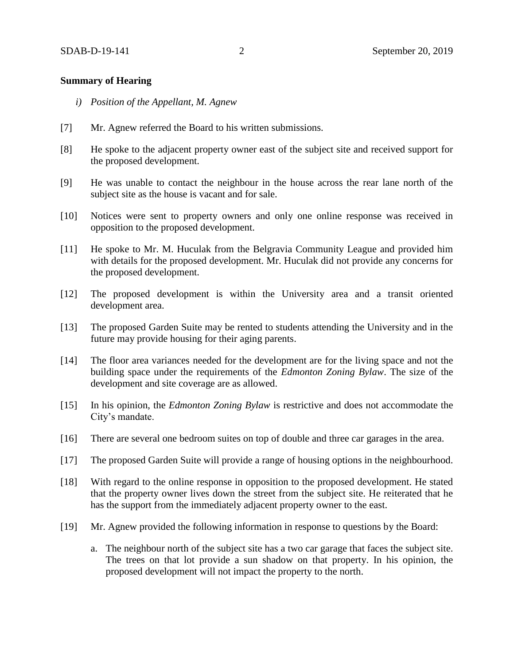### **Summary of Hearing**

- *i) Position of the Appellant, M. Agnew*
- [7] Mr. Agnew referred the Board to his written submissions.
- [8] He spoke to the adjacent property owner east of the subject site and received support for the proposed development.
- [9] He was unable to contact the neighbour in the house across the rear lane north of the subject site as the house is vacant and for sale.
- [10] Notices were sent to property owners and only one online response was received in opposition to the proposed development.
- [11] He spoke to Mr. M. Huculak from the Belgravia Community League and provided him with details for the proposed development. Mr. Huculak did not provide any concerns for the proposed development.
- [12] The proposed development is within the University area and a transit oriented development area.
- [13] The proposed Garden Suite may be rented to students attending the University and in the future may provide housing for their aging parents.
- [14] The floor area variances needed for the development are for the living space and not the building space under the requirements of the *Edmonton Zoning Bylaw*. The size of the development and site coverage are as allowed.
- [15] In his opinion, the *Edmonton Zoning Bylaw* is restrictive and does not accommodate the City's mandate.
- [16] There are several one bedroom suites on top of double and three car garages in the area.
- [17] The proposed Garden Suite will provide a range of housing options in the neighbourhood.
- [18] With regard to the online response in opposition to the proposed development. He stated that the property owner lives down the street from the subject site. He reiterated that he has the support from the immediately adjacent property owner to the east.
- [19] Mr. Agnew provided the following information in response to questions by the Board:
	- a. The neighbour north of the subject site has a two car garage that faces the subject site. The trees on that lot provide a sun shadow on that property. In his opinion, the proposed development will not impact the property to the north.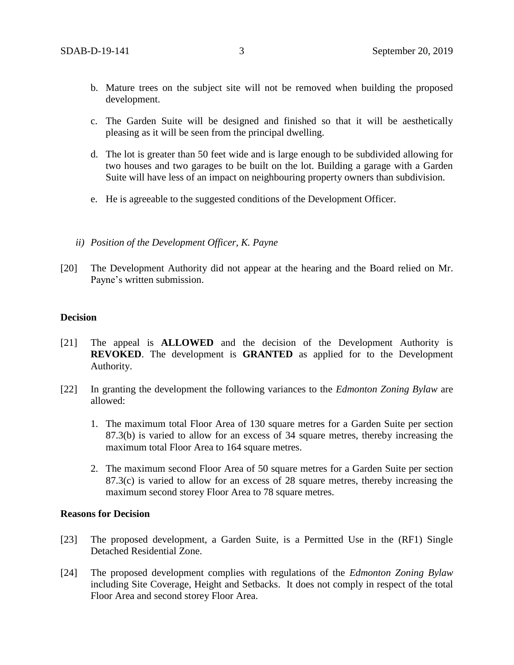- b. Mature trees on the subject site will not be removed when building the proposed development.
- c. The Garden Suite will be designed and finished so that it will be aesthetically pleasing as it will be seen from the principal dwelling.
- d. The lot is greater than 50 feet wide and is large enough to be subdivided allowing for two houses and two garages to be built on the lot. Building a garage with a Garden Suite will have less of an impact on neighbouring property owners than subdivision.
- e. He is agreeable to the suggested conditions of the Development Officer.
- *ii) Position of the Development Officer, K. Payne*
- [20] The Development Authority did not appear at the hearing and the Board relied on Mr. Payne's written submission.

#### **Decision**

- [21] The appeal is **ALLOWED** and the decision of the Development Authority is **REVOKED**. The development is **GRANTED** as applied for to the Development Authority.
- [22] In granting the development the following variances to the *Edmonton Zoning Bylaw* are allowed:
	- 1. The maximum total Floor Area of 130 square metres for a Garden Suite per section 87.3(b) is varied to allow for an excess of 34 square metres, thereby increasing the maximum total Floor Area to 164 square metres.
	- 2. The maximum second Floor Area of 50 square metres for a Garden Suite per section 87.3(c) is varied to allow for an excess of 28 square metres, thereby increasing the maximum second storey Floor Area to 78 square metres.

#### **Reasons for Decision**

- [23] The proposed development, a Garden Suite, is a Permitted Use in the (RF1) Single Detached Residential Zone.
- [24] The proposed development complies with regulations of the *Edmonton Zoning Bylaw* including Site Coverage, Height and Setbacks. It does not comply in respect of the total Floor Area and second storey Floor Area.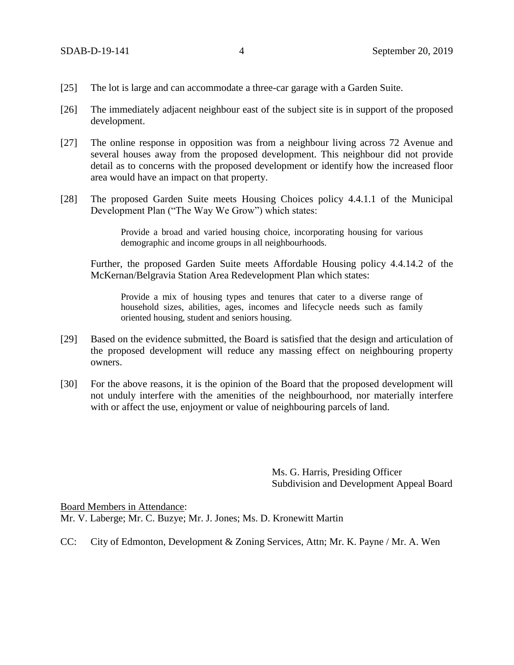- [25] The lot is large and can accommodate a three-car garage with a Garden Suite.
- [26] The immediately adjacent neighbour east of the subject site is in support of the proposed development.
- [27] The online response in opposition was from a neighbour living across 72 Avenue and several houses away from the proposed development. This neighbour did not provide detail as to concerns with the proposed development or identify how the increased floor area would have an impact on that property.
- [28] The proposed Garden Suite meets Housing Choices policy 4.4.1.1 of the Municipal Development Plan ("The Way We Grow") which states:

Provide a broad and varied housing choice, incorporating housing for various demographic and income groups in all neighbourhoods.

Further, the proposed Garden Suite meets Affordable Housing policy 4.4.14.2 of the McKernan/Belgravia Station Area Redevelopment Plan which states:

Provide a mix of housing types and tenures that cater to a diverse range of household sizes, abilities, ages, incomes and lifecycle needs such as family oriented housing, student and seniors housing.

- [29] Based on the evidence submitted, the Board is satisfied that the design and articulation of the proposed development will reduce any massing effect on neighbouring property owners.
- [30] For the above reasons, it is the opinion of the Board that the proposed development will not unduly interfere with the amenities of the neighbourhood, nor materially interfere with or affect the use, enjoyment or value of neighbouring parcels of land.

Ms. G. Harris, Presiding Officer Subdivision and Development Appeal Board

Board Members in Attendance:

Mr. V. Laberge; Mr. C. Buzye; Mr. J. Jones; Ms. D. Kronewitt Martin

CC: City of Edmonton, Development & Zoning Services, Attn; Mr. K. Payne / Mr. A. Wen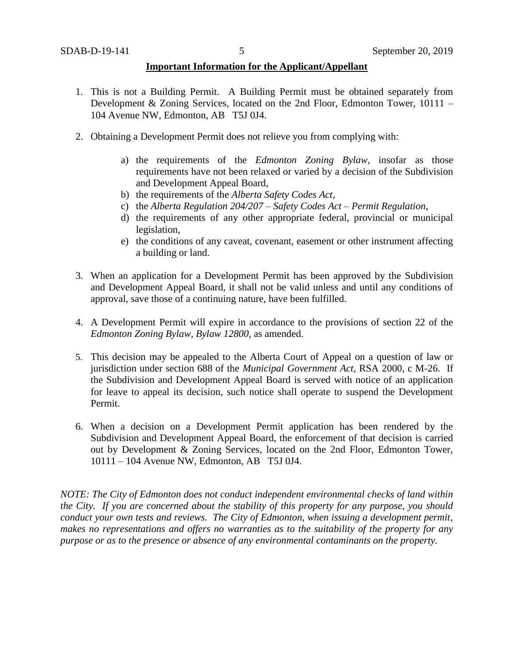#### **Important Information for the Applicant/Appellant**

- 1. This is not a Building Permit. A Building Permit must be obtained separately from Development & Zoning Services, located on the 2nd Floor, Edmonton Tower, 10111 – 104 Avenue NW, Edmonton, AB T5J 0J4.
- 2. Obtaining a Development Permit does not relieve you from complying with:
	- a) the requirements of the *Edmonton Zoning Bylaw*, insofar as those requirements have not been relaxed or varied by a decision of the Subdivision and Development Appeal Board,
	- b) the requirements of the *Alberta Safety Codes Act*,
	- c) the *Alberta Regulation 204/207 – Safety Codes Act – Permit Regulation*,
	- d) the requirements of any other appropriate federal, provincial or municipal legislation,
	- e) the conditions of any caveat, covenant, easement or other instrument affecting a building or land.
- 3. When an application for a Development Permit has been approved by the Subdivision and Development Appeal Board, it shall not be valid unless and until any conditions of approval, save those of a continuing nature, have been fulfilled.
- 4. A Development Permit will expire in accordance to the provisions of section 22 of the *Edmonton Zoning Bylaw, Bylaw 12800*, as amended.
- 5. This decision may be appealed to the Alberta Court of Appeal on a question of law or jurisdiction under section 688 of the *Municipal Government Act*, RSA 2000, c M-26. If the Subdivision and Development Appeal Board is served with notice of an application for leave to appeal its decision, such notice shall operate to suspend the Development Permit.
- 6. When a decision on a Development Permit application has been rendered by the Subdivision and Development Appeal Board, the enforcement of that decision is carried out by Development & Zoning Services, located on the 2nd Floor, Edmonton Tower, 10111 – 104 Avenue NW, Edmonton, AB T5J 0J4.

*NOTE: The City of Edmonton does not conduct independent environmental checks of land within the City. If you are concerned about the stability of this property for any purpose, you should conduct your own tests and reviews. The City of Edmonton, when issuing a development permit, makes no representations and offers no warranties as to the suitability of the property for any purpose or as to the presence or absence of any environmental contaminants on the property.*